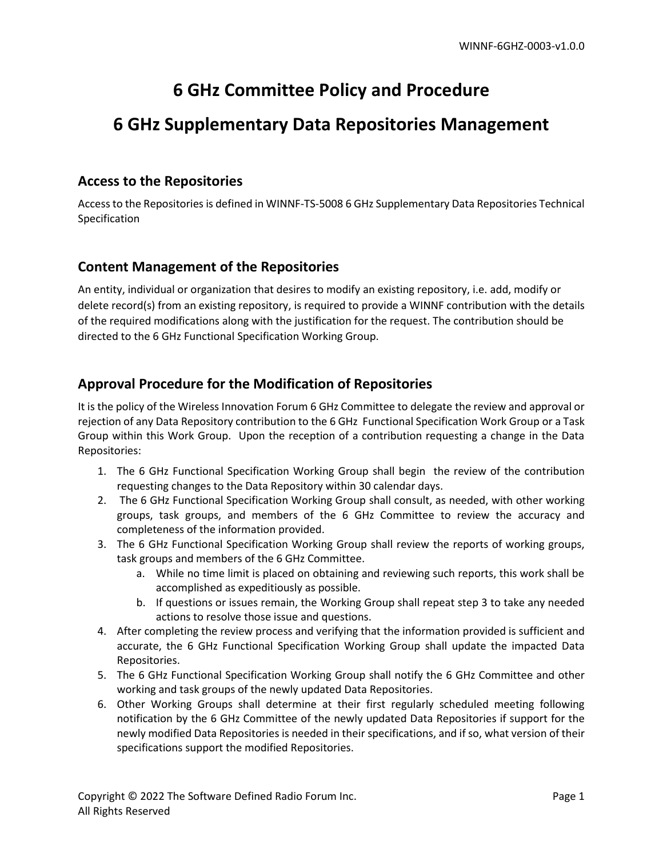# **6 GHz Committee Policy and Procedure**

## **6 GHz Supplementary Data Repositories Management**

#### **Access to the Repositories**

Access to the Repositories is defined in WINNF-TS-5008 6 GHz Supplementary Data Repositories Technical Specification

#### **Content Management of the Repositories**

An entity, individual or organization that desires to modify an existing repository, i.e. add, modify or delete record(s) from an existing repository, is required to provide a WINNF contribution with the details of the required modifications along with the justification for the request. The contribution should be directed to the 6 GHz Functional Specification Working Group.

### **Approval Procedure for the Modification of Repositories**

It is the policy of the Wireless Innovation Forum 6 GHz Committee to delegate the review and approval or rejection of any Data Repository contribution to the 6 GHz Functional Specification Work Group or a Task Group within this Work Group. Upon the reception of a contribution requesting a change in the Data Repositories:

- 1. The 6 GHz Functional Specification Working Group shall begin the review of the contribution requesting changes to the Data Repository within 30 calendar days.
- 2. The 6 GHz Functional Specification Working Group shall consult, as needed, with other working groups, task groups, and members of the 6 GHz Committee to review the accuracy and completeness of the information provided.
- 3. The 6 GHz Functional Specification Working Group shall review the reports of working groups, task groups and members of the 6 GHz Committee.
	- a. While no time limit is placed on obtaining and reviewing such reports, this work shall be accomplished as expeditiously as possible.
	- b. If questions or issues remain, the Working Group shall repeat step 3 to take any needed actions to resolve those issue and questions.
- 4. After completing the review process and verifying that the information provided is sufficient and accurate, the 6 GHz Functional Specification Working Group shall update the impacted Data Repositories.
- 5. The 6 GHz Functional Specification Working Group shall notify the 6 GHz Committee and other working and task groups of the newly updated Data Repositories.
- 6. Other Working Groups shall determine at their first regularly scheduled meeting following notification by the 6 GHz Committee of the newly updated Data Repositories if support for the newly modified Data Repositories is needed in their specifications, and if so, what version of their specifications support the modified Repositories.